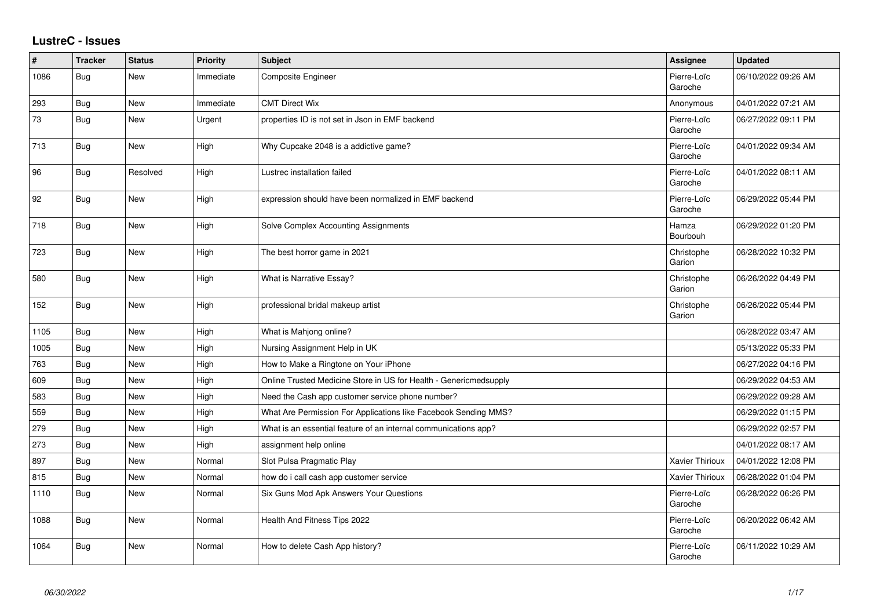## **LustreC - Issues**

| ∦    | <b>Tracker</b> | <b>Status</b> | <b>Priority</b> | <b>Subject</b>                                                    | <b>Assignee</b>        | Updated             |
|------|----------------|---------------|-----------------|-------------------------------------------------------------------|------------------------|---------------------|
| 1086 | Bug            | New           | Immediate       | Composite Engineer                                                | Pierre-Loïc<br>Garoche | 06/10/2022 09:26 AM |
| 293  | Bug            | New           | Immediate       | <b>CMT Direct Wix</b>                                             | Anonymous              | 04/01/2022 07:21 AM |
| 73   | Bug            | New           | Urgent          | properties ID is not set in Json in EMF backend                   | Pierre-Loïc<br>Garoche | 06/27/2022 09:11 PM |
| 713  | Bug            | New           | High            | Why Cupcake 2048 is a addictive game?                             | Pierre-Loïc<br>Garoche | 04/01/2022 09:34 AM |
| 96   | Bug            | Resolved      | High            | Lustrec installation failed                                       | Pierre-Loïc<br>Garoche | 04/01/2022 08:11 AM |
| 92   | Bug            | New           | High            | expression should have been normalized in EMF backend             | Pierre-Loïc<br>Garoche | 06/29/2022 05:44 PM |
| 718  | <b>Bug</b>     | New           | High            | Solve Complex Accounting Assignments                              | Hamza<br>Bourbouh      | 06/29/2022 01:20 PM |
| 723  | Bug            | New           | High            | The best horror game in 2021                                      | Christophe<br>Garion   | 06/28/2022 10:32 PM |
| 580  | Bug            | New           | High            | What is Narrative Essay?                                          | Christophe<br>Garion   | 06/26/2022 04:49 PM |
| 152  | Bug            | New           | High            | professional bridal makeup artist                                 | Christophe<br>Garion   | 06/26/2022 05:44 PM |
| 1105 | Bug            | <b>New</b>    | High            | What is Mahjong online?                                           |                        | 06/28/2022 03:47 AM |
| 1005 | <b>Bug</b>     | New           | High            | Nursing Assignment Help in UK                                     |                        | 05/13/2022 05:33 PM |
| 763  | Bug            | New           | High            | How to Make a Ringtone on Your iPhone                             |                        | 06/27/2022 04:16 PM |
| 609  | Bug            | New           | High            | Online Trusted Medicine Store in US for Health - Genericmedsupply |                        | 06/29/2022 04:53 AM |
| 583  | Bug            | New           | High            | Need the Cash app customer service phone number?                  |                        | 06/29/2022 09:28 AM |
| 559  | <b>Bug</b>     | New           | High            | What Are Permission For Applications like Facebook Sending MMS?   |                        | 06/29/2022 01:15 PM |
| 279  | Bug            | New           | High            | What is an essential feature of an internal communications app?   |                        | 06/29/2022 02:57 PM |
| 273  | Bug            | New           | High            | assignment help online                                            |                        | 04/01/2022 08:17 AM |
| 897  | Bug            | New           | Normal          | Slot Pulsa Pragmatic Play                                         | Xavier Thirioux        | 04/01/2022 12:08 PM |
| 815  | Bug            | New           | Normal          | how do i call cash app customer service                           | <b>Xavier Thirioux</b> | 06/28/2022 01:04 PM |
| 1110 | Bug            | New           | Normal          | Six Guns Mod Apk Answers Your Questions                           | Pierre-Loïc<br>Garoche | 06/28/2022 06:26 PM |
| 1088 | Bug            | New           | Normal          | Health And Fitness Tips 2022                                      | Pierre-Loïc<br>Garoche | 06/20/2022 06:42 AM |
| 1064 | <b>Bug</b>     | New           | Normal          | How to delete Cash App history?                                   | Pierre-Loïc<br>Garoche | 06/11/2022 10:29 AM |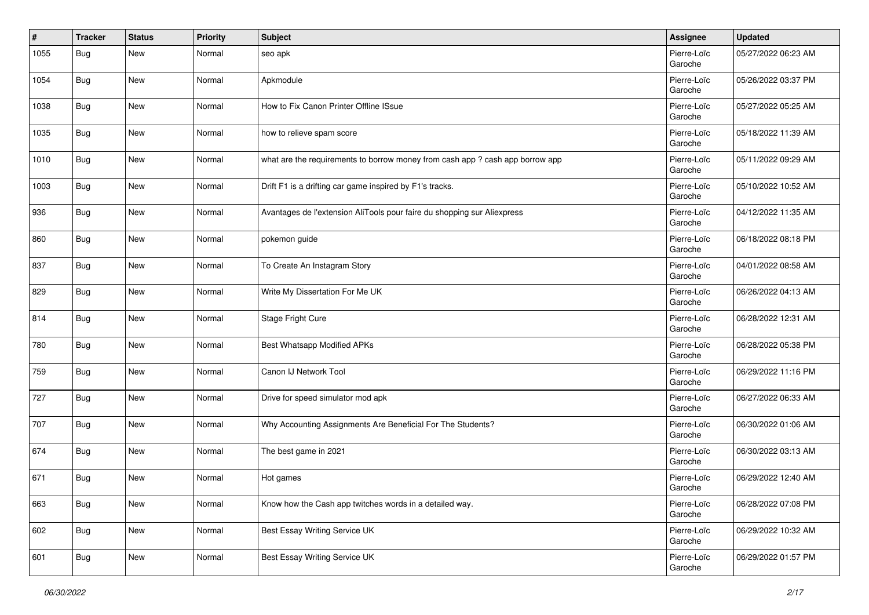| #    | <b>Tracker</b> | <b>Status</b> | <b>Priority</b> | <b>Subject</b>                                                                | <b>Assignee</b>        | <b>Updated</b>      |
|------|----------------|---------------|-----------------|-------------------------------------------------------------------------------|------------------------|---------------------|
| 1055 | <b>Bug</b>     | New           | Normal          | seo apk                                                                       | Pierre-Loïc<br>Garoche | 05/27/2022 06:23 AM |
| 1054 | <b>Bug</b>     | New           | Normal          | Apkmodule                                                                     | Pierre-Loïc<br>Garoche | 05/26/2022 03:37 PM |
| 1038 | Bug            | New           | Normal          | How to Fix Canon Printer Offline ISsue                                        | Pierre-Loïc<br>Garoche | 05/27/2022 05:25 AM |
| 1035 | Bug            | New           | Normal          | how to relieve spam score                                                     | Pierre-Loïc<br>Garoche | 05/18/2022 11:39 AM |
| 1010 | Bug            | New           | Normal          | what are the requirements to borrow money from cash app ? cash app borrow app | Pierre-Loïc<br>Garoche | 05/11/2022 09:29 AM |
| 1003 | Bug            | New           | Normal          | Drift F1 is a drifting car game inspired by F1's tracks.                      | Pierre-Loïc<br>Garoche | 05/10/2022 10:52 AM |
| 936  | <b>Bug</b>     | New           | Normal          | Avantages de l'extension AliTools pour faire du shopping sur Aliexpress       | Pierre-Loïc<br>Garoche | 04/12/2022 11:35 AM |
| 860  | Bug            | New           | Normal          | pokemon guide                                                                 | Pierre-Loïc<br>Garoche | 06/18/2022 08:18 PM |
| 837  | Bug            | New           | Normal          | To Create An Instagram Story                                                  | Pierre-Loïc<br>Garoche | 04/01/2022 08:58 AM |
| 829  | Bug            | New           | Normal          | Write My Dissertation For Me UK                                               | Pierre-Loïc<br>Garoche | 06/26/2022 04:13 AM |
| 814  | Bug            | New           | Normal          | Stage Fright Cure                                                             | Pierre-Loïc<br>Garoche | 06/28/2022 12:31 AM |
| 780  | Bug            | New           | Normal          | Best Whatsapp Modified APKs                                                   | Pierre-Loïc<br>Garoche | 06/28/2022 05:38 PM |
| 759  | Bug            | <b>New</b>    | Normal          | Canon IJ Network Tool                                                         | Pierre-Loïc<br>Garoche | 06/29/2022 11:16 PM |
| 727  | <b>Bug</b>     | New           | Normal          | Drive for speed simulator mod apk                                             | Pierre-Loïc<br>Garoche | 06/27/2022 06:33 AM |
| 707  | <b>Bug</b>     | <b>New</b>    | Normal          | Why Accounting Assignments Are Beneficial For The Students?                   | Pierre-Loïc<br>Garoche | 06/30/2022 01:06 AM |
| 674  | <b>Bug</b>     | New           | Normal          | The best game in 2021                                                         | Pierre-Loïc<br>Garoche | 06/30/2022 03:13 AM |
| 671  | Bug            | New           | Normal          | Hot games                                                                     | Pierre-Loïc<br>Garoche | 06/29/2022 12:40 AM |
| 663  | <b>Bug</b>     | New           | Normal          | Know how the Cash app twitches words in a detailed way.                       | Pierre-Loïc<br>Garoche | 06/28/2022 07:08 PM |
| 602  | Bug            | New           | Normal          | Best Essay Writing Service UK                                                 | Pierre-Loïc<br>Garoche | 06/29/2022 10:32 AM |
| 601  | <b>Bug</b>     | New           | Normal          | Best Essay Writing Service UK                                                 | Pierre-Loïc<br>Garoche | 06/29/2022 01:57 PM |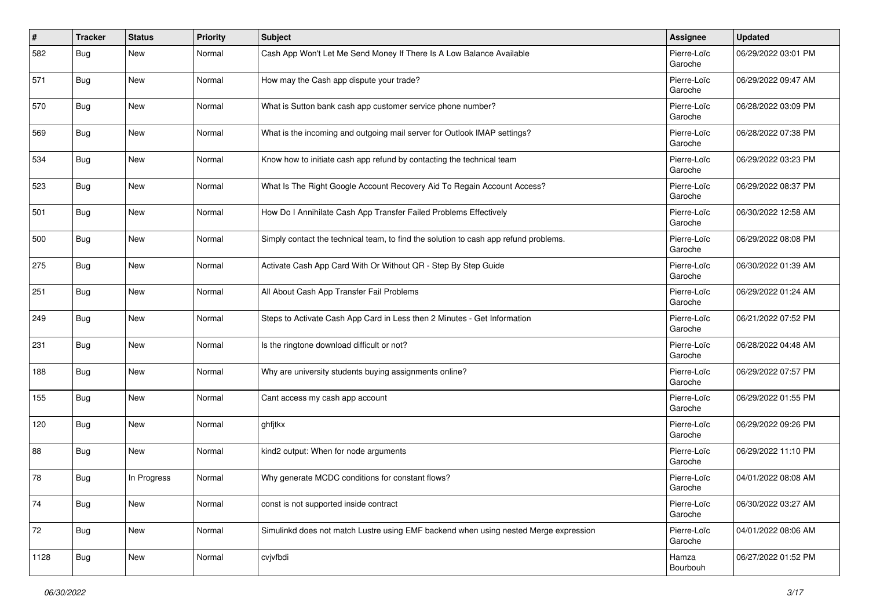| #    | <b>Tracker</b> | <b>Status</b> | <b>Priority</b> | <b>Subject</b>                                                                       | Assignee               | <b>Updated</b>      |
|------|----------------|---------------|-----------------|--------------------------------------------------------------------------------------|------------------------|---------------------|
| 582  | <b>Bug</b>     | New           | Normal          | Cash App Won't Let Me Send Money If There Is A Low Balance Available                 | Pierre-Loïc<br>Garoche | 06/29/2022 03:01 PM |
| 571  | <b>Bug</b>     | New           | Normal          | How may the Cash app dispute your trade?                                             | Pierre-Loïc<br>Garoche | 06/29/2022 09:47 AM |
| 570  | <b>Bug</b>     | New           | Normal          | What is Sutton bank cash app customer service phone number?                          | Pierre-Loïc<br>Garoche | 06/28/2022 03:09 PM |
| 569  | <b>Bug</b>     | New           | Normal          | What is the incoming and outgoing mail server for Outlook IMAP settings?             | Pierre-Loïc<br>Garoche | 06/28/2022 07:38 PM |
| 534  | <b>Bug</b>     | New           | Normal          | Know how to initiate cash app refund by contacting the technical team                | Pierre-Loïc<br>Garoche | 06/29/2022 03:23 PM |
| 523  | <b>Bug</b>     | New           | Normal          | What Is The Right Google Account Recovery Aid To Regain Account Access?              | Pierre-Loïc<br>Garoche | 06/29/2022 08:37 PM |
| 501  | <b>Bug</b>     | New           | Normal          | How Do I Annihilate Cash App Transfer Failed Problems Effectively                    | Pierre-Loïc<br>Garoche | 06/30/2022 12:58 AM |
| 500  | <b>Bug</b>     | New           | Normal          | Simply contact the technical team, to find the solution to cash app refund problems. | Pierre-Loïc<br>Garoche | 06/29/2022 08:08 PM |
| 275  | <b>Bug</b>     | New           | Normal          | Activate Cash App Card With Or Without QR - Step By Step Guide                       | Pierre-Loïc<br>Garoche | 06/30/2022 01:39 AM |
| 251  | <b>Bug</b>     | New           | Normal          | All About Cash App Transfer Fail Problems                                            | Pierre-Loïc<br>Garoche | 06/29/2022 01:24 AM |
| 249  | <b>Bug</b>     | New           | Normal          | Steps to Activate Cash App Card in Less then 2 Minutes - Get Information             | Pierre-Loïc<br>Garoche | 06/21/2022 07:52 PM |
| 231  | <b>Bug</b>     | New           | Normal          | Is the ringtone download difficult or not?                                           | Pierre-Loïc<br>Garoche | 06/28/2022 04:48 AM |
| 188  | <b>Bug</b>     | New           | Normal          | Why are university students buying assignments online?                               | Pierre-Loïc<br>Garoche | 06/29/2022 07:57 PM |
| 155  | <b>Bug</b>     | New           | Normal          | Cant access my cash app account                                                      | Pierre-Loïc<br>Garoche | 06/29/2022 01:55 PM |
| 120  | <b>Bug</b>     | New           | Normal          | ghfjtkx                                                                              | Pierre-Loïc<br>Garoche | 06/29/2022 09:26 PM |
| 88   | <b>Bug</b>     | New           | Normal          | kind2 output: When for node arguments                                                | Pierre-Loïc<br>Garoche | 06/29/2022 11:10 PM |
| 78   | <b>Bug</b>     | In Progress   | Normal          | Why generate MCDC conditions for constant flows?                                     | Pierre-Loïc<br>Garoche | 04/01/2022 08:08 AM |
| 74   | <b>Bug</b>     | New           | Normal          | const is not supported inside contract                                               | Pierre-Loïc<br>Garoche | 06/30/2022 03:27 AM |
| 72   | <b>Bug</b>     | New           | Normal          | Simulinkd does not match Lustre using EMF backend when using nested Merge expression | Pierre-Loïc<br>Garoche | 04/01/2022 08:06 AM |
| 1128 | <b>Bug</b>     | New           | Normal          | cvjvfbdi                                                                             | Hamza<br>Bourbouh      | 06/27/2022 01:52 PM |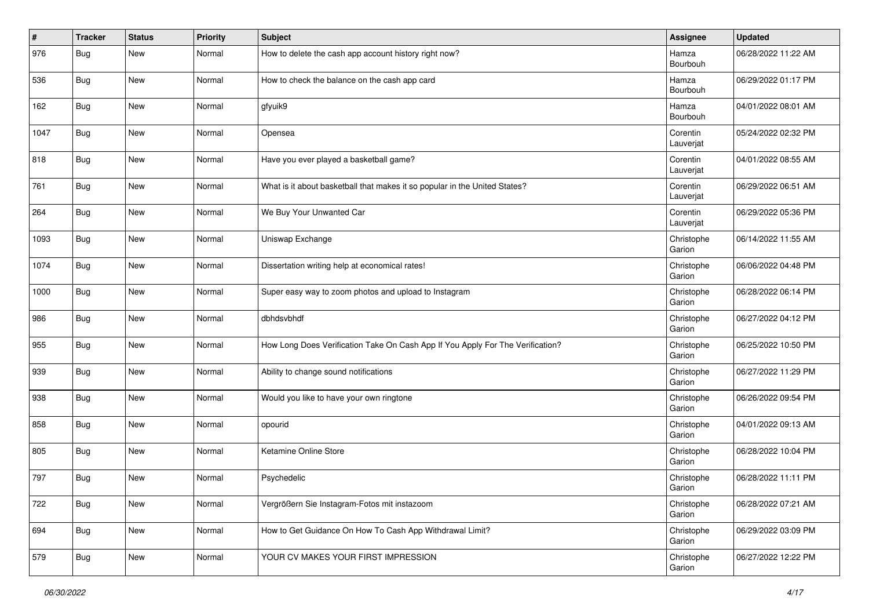| #    | <b>Tracker</b> | <b>Status</b> | <b>Priority</b> | <b>Subject</b>                                                                 | <b>Assignee</b>       | <b>Updated</b>      |
|------|----------------|---------------|-----------------|--------------------------------------------------------------------------------|-----------------------|---------------------|
| 976  | Bug            | New           | Normal          | How to delete the cash app account history right now?                          | Hamza<br>Bourbouh     | 06/28/2022 11:22 AM |
| 536  | <b>Bug</b>     | New           | Normal          | How to check the balance on the cash app card                                  | Hamza<br>Bourbouh     | 06/29/2022 01:17 PM |
| 162  | Bug            | New           | Normal          | gfyuik9                                                                        | Hamza<br>Bourbouh     | 04/01/2022 08:01 AM |
| 1047 | Bug            | New           | Normal          | Opensea                                                                        | Corentin<br>Lauverjat | 05/24/2022 02:32 PM |
| 818  | <b>Bug</b>     | New           | Normal          | Have you ever played a basketball game?                                        | Corentin<br>Lauverjat | 04/01/2022 08:55 AM |
| 761  | Bug            | New           | Normal          | What is it about basketball that makes it so popular in the United States?     | Corentin<br>Lauverjat | 06/29/2022 06:51 AM |
| 264  | Bug            | New           | Normal          | We Buy Your Unwanted Car                                                       | Corentin<br>Lauverjat | 06/29/2022 05:36 PM |
| 1093 | Bug            | New           | Normal          | Uniswap Exchange                                                               | Christophe<br>Garion  | 06/14/2022 11:55 AM |
| 1074 | <b>Bug</b>     | New           | Normal          | Dissertation writing help at economical rates!                                 | Christophe<br>Garion  | 06/06/2022 04:48 PM |
| 1000 | Bug            | New           | Normal          | Super easy way to zoom photos and upload to Instagram                          | Christophe<br>Garion  | 06/28/2022 06:14 PM |
| 986  | Bug            | New           | Normal          | dbhdsvbhdf                                                                     | Christophe<br>Garion  | 06/27/2022 04:12 PM |
| 955  | <b>Bug</b>     | New           | Normal          | How Long Does Verification Take On Cash App If You Apply For The Verification? | Christophe<br>Garion  | 06/25/2022 10:50 PM |
| 939  | Bug            | New           | Normal          | Ability to change sound notifications                                          | Christophe<br>Garion  | 06/27/2022 11:29 PM |
| 938  | Bug            | New           | Normal          | Would you like to have your own ringtone                                       | Christophe<br>Garion  | 06/26/2022 09:54 PM |
| 858  | Bug            | New           | Normal          | opourid                                                                        | Christophe<br>Garion  | 04/01/2022 09:13 AM |
| 805  | Bug            | New           | Normal          | Ketamine Online Store                                                          | Christophe<br>Garion  | 06/28/2022 10:04 PM |
| 797  | Bug            | New           | Normal          | Psychedelic                                                                    | Christophe<br>Garion  | 06/28/2022 11:11 PM |
| 722  | <b>Bug</b>     | New           | Normal          | Vergrößern Sie Instagram-Fotos mit instazoom                                   | Christophe<br>Garion  | 06/28/2022 07:21 AM |
| 694  | <b>Bug</b>     | New           | Normal          | How to Get Guidance On How To Cash App Withdrawal Limit?                       | Christophe<br>Garion  | 06/29/2022 03:09 PM |
| 579  | <b>Bug</b>     | New           | Normal          | YOUR CV MAKES YOUR FIRST IMPRESSION                                            | Christophe<br>Garion  | 06/27/2022 12:22 PM |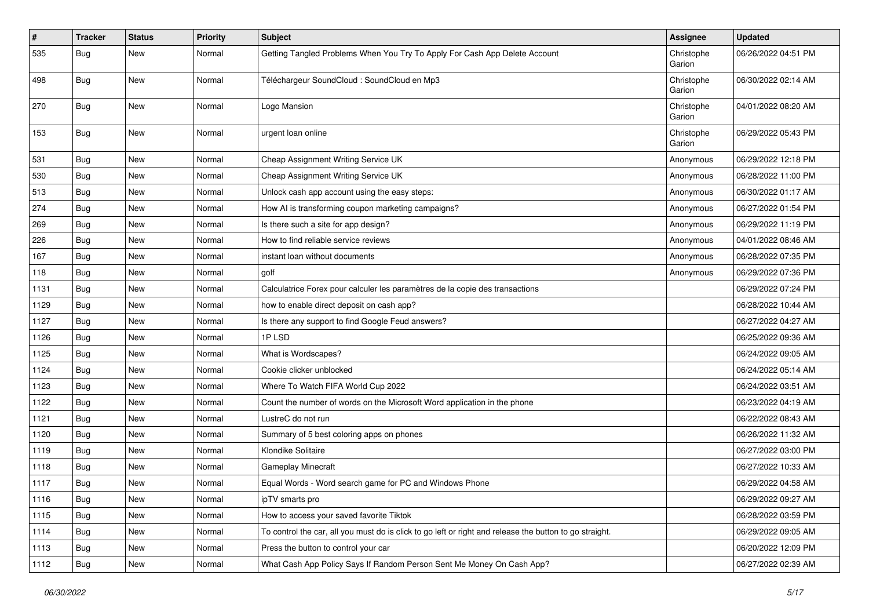| #    | <b>Tracker</b> | <b>Status</b> | <b>Priority</b> | <b>Subject</b>                                                                                          | Assignee             | <b>Updated</b>      |
|------|----------------|---------------|-----------------|---------------------------------------------------------------------------------------------------------|----------------------|---------------------|
| 535  | <b>Bug</b>     | New           | Normal          | Getting Tangled Problems When You Try To Apply For Cash App Delete Account                              | Christophe<br>Garion | 06/26/2022 04:51 PM |
| 498  | <b>Bug</b>     | New           | Normal          | Téléchargeur SoundCloud : SoundCloud en Mp3                                                             | Christophe<br>Garion | 06/30/2022 02:14 AM |
| 270  | <b>Bug</b>     | New           | Normal          | Logo Mansion                                                                                            | Christophe<br>Garion | 04/01/2022 08:20 AM |
| 153  | <b>Bug</b>     | New           | Normal          | urgent loan online                                                                                      | Christophe<br>Garion | 06/29/2022 05:43 PM |
| 531  | <b>Bug</b>     | New           | Normal          | Cheap Assignment Writing Service UK                                                                     | Anonymous            | 06/29/2022 12:18 PM |
| 530  | <b>Bug</b>     | New           | Normal          | Cheap Assignment Writing Service UK                                                                     | Anonymous            | 06/28/2022 11:00 PM |
| 513  | <b>Bug</b>     | New           | Normal          | Unlock cash app account using the easy steps:                                                           | Anonymous            | 06/30/2022 01:17 AM |
| 274  | Bug            | New           | Normal          | How AI is transforming coupon marketing campaigns?                                                      | Anonymous            | 06/27/2022 01:54 PM |
| 269  | <b>Bug</b>     | New           | Normal          | Is there such a site for app design?                                                                    | Anonymous            | 06/29/2022 11:19 PM |
| 226  | Bug            | New           | Normal          | How to find reliable service reviews                                                                    | Anonymous            | 04/01/2022 08:46 AM |
| 167  | <b>Bug</b>     | New           | Normal          | instant loan without documents                                                                          | Anonymous            | 06/28/2022 07:35 PM |
| 118  | <b>Bug</b>     | New           | Normal          | golf                                                                                                    | Anonymous            | 06/29/2022 07:36 PM |
| 1131 | <b>Bug</b>     | New           | Normal          | Calculatrice Forex pour calculer les paramètres de la copie des transactions                            |                      | 06/29/2022 07:24 PM |
| 1129 | Bug            | <b>New</b>    | Normal          | how to enable direct deposit on cash app?                                                               |                      | 06/28/2022 10:44 AM |
| 1127 | <b>Bug</b>     | New           | Normal          | Is there any support to find Google Feud answers?                                                       |                      | 06/27/2022 04:27 AM |
| 1126 | <b>Bug</b>     | New           | Normal          | 1PLSD                                                                                                   |                      | 06/25/2022 09:36 AM |
| 1125 | Bug            | New           | Normal          | What is Wordscapes?                                                                                     |                      | 06/24/2022 09:05 AM |
| 1124 | <b>Bug</b>     | New           | Normal          | Cookie clicker unblocked                                                                                |                      | 06/24/2022 05:14 AM |
| 1123 | Bug            | New           | Normal          | Where To Watch FIFA World Cup 2022                                                                      |                      | 06/24/2022 03:51 AM |
| 1122 | <b>Bug</b>     | New           | Normal          | Count the number of words on the Microsoft Word application in the phone                                |                      | 06/23/2022 04:19 AM |
| 1121 | <b>Bug</b>     | New           | Normal          | LustreC do not run                                                                                      |                      | 06/22/2022 08:43 AM |
| 1120 | <b>Bug</b>     | New           | Normal          | Summary of 5 best coloring apps on phones                                                               |                      | 06/26/2022 11:32 AM |
| 1119 | Bug            | New           | Normal          | Klondike Solitaire                                                                                      |                      | 06/27/2022 03:00 PM |
| 1118 | <b>Bug</b>     | New           | Normal          | <b>Gameplay Minecraft</b>                                                                               |                      | 06/27/2022 10:33 AM |
| 1117 | Bug            | New           | Normal          | Equal Words - Word search game for PC and Windows Phone                                                 |                      | 06/29/2022 04:58 AM |
| 1116 | <b>Bug</b>     | New           | Normal          | ipTV smarts pro                                                                                         |                      | 06/29/2022 09:27 AM |
| 1115 | Bug            | New           | Normal          | How to access your saved favorite Tiktok                                                                |                      | 06/28/2022 03:59 PM |
| 1114 | <b>Bug</b>     | New           | Normal          | To control the car, all you must do is click to go left or right and release the button to go straight. |                      | 06/29/2022 09:05 AM |
| 1113 | <b>Bug</b>     | New           | Normal          | Press the button to control your car                                                                    |                      | 06/20/2022 12:09 PM |
| 1112 | <b>Bug</b>     | New           | Normal          | What Cash App Policy Says If Random Person Sent Me Money On Cash App?                                   |                      | 06/27/2022 02:39 AM |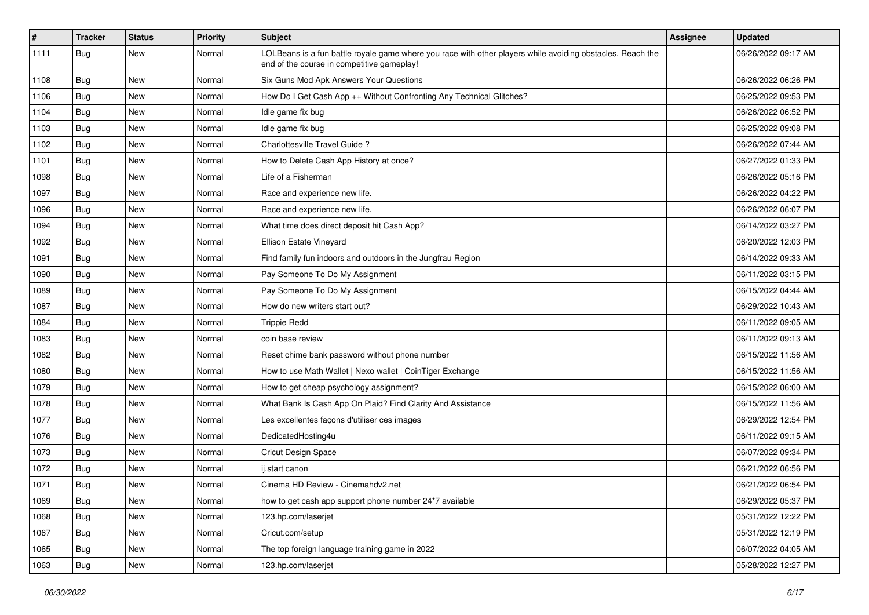| $\pmb{\#}$ | <b>Tracker</b> | <b>Status</b> | <b>Priority</b> | Subject                                                                                                                                                  | <b>Assignee</b> | <b>Updated</b>      |
|------------|----------------|---------------|-----------------|----------------------------------------------------------------------------------------------------------------------------------------------------------|-----------------|---------------------|
| 1111       | <b>Bug</b>     | New           | Normal          | LOLBeans is a fun battle royale game where you race with other players while avoiding obstacles. Reach the<br>end of the course in competitive gameplay! |                 | 06/26/2022 09:17 AM |
| 1108       | <b>Bug</b>     | New           | Normal          | Six Guns Mod Apk Answers Your Questions                                                                                                                  |                 | 06/26/2022 06:26 PM |
| 1106       | <b>Bug</b>     | New           | Normal          | How Do I Get Cash App ++ Without Confronting Any Technical Glitches?                                                                                     |                 | 06/25/2022 09:53 PM |
| 1104       | Bug            | New           | Normal          | Idle game fix bug                                                                                                                                        |                 | 06/26/2022 06:52 PM |
| 1103       | <b>Bug</b>     | New           | Normal          | Idle game fix bug                                                                                                                                        |                 | 06/25/2022 09:08 PM |
| 1102       | <b>Bug</b>     | New           | Normal          | Charlottesville Travel Guide?                                                                                                                            |                 | 06/26/2022 07:44 AM |
| 1101       | <b>Bug</b>     | New           | Normal          | How to Delete Cash App History at once?                                                                                                                  |                 | 06/27/2022 01:33 PM |
| 1098       | <b>Bug</b>     | New           | Normal          | Life of a Fisherman                                                                                                                                      |                 | 06/26/2022 05:16 PM |
| 1097       | <b>Bug</b>     | <b>New</b>    | Normal          | Race and experience new life.                                                                                                                            |                 | 06/26/2022 04:22 PM |
| 1096       | <b>Bug</b>     | New           | Normal          | Race and experience new life.                                                                                                                            |                 | 06/26/2022 06:07 PM |
| 1094       | <b>Bug</b>     | New           | Normal          | What time does direct deposit hit Cash App?                                                                                                              |                 | 06/14/2022 03:27 PM |
| 1092       | <b>Bug</b>     | New           | Normal          | Ellison Estate Vineyard                                                                                                                                  |                 | 06/20/2022 12:03 PM |
| 1091       | <b>Bug</b>     | New           | Normal          | Find family fun indoors and outdoors in the Jungfrau Region                                                                                              |                 | 06/14/2022 09:33 AM |
| 1090       | <b>Bug</b>     | New           | Normal          | Pay Someone To Do My Assignment                                                                                                                          |                 | 06/11/2022 03:15 PM |
| 1089       | <b>Bug</b>     | New           | Normal          | Pay Someone To Do My Assignment                                                                                                                          |                 | 06/15/2022 04:44 AM |
| 1087       | <b>Bug</b>     | New           | Normal          | How do new writers start out?                                                                                                                            |                 | 06/29/2022 10:43 AM |
| 1084       | <b>Bug</b>     | New           | Normal          | <b>Trippie Redd</b>                                                                                                                                      |                 | 06/11/2022 09:05 AM |
| 1083       | <b>Bug</b>     | New           | Normal          | coin base review                                                                                                                                         |                 | 06/11/2022 09:13 AM |
| 1082       | <b>Bug</b>     | New           | Normal          | Reset chime bank password without phone number                                                                                                           |                 | 06/15/2022 11:56 AM |
| 1080       | <b>Bug</b>     | <b>New</b>    | Normal          | How to use Math Wallet   Nexo wallet   CoinTiger Exchange                                                                                                |                 | 06/15/2022 11:56 AM |
| 1079       | <b>Bug</b>     | New           | Normal          | How to get cheap psychology assignment?                                                                                                                  |                 | 06/15/2022 06:00 AM |
| 1078       | <b>Bug</b>     | New           | Normal          | What Bank Is Cash App On Plaid? Find Clarity And Assistance                                                                                              |                 | 06/15/2022 11:56 AM |
| 1077       | Bug            | New           | Normal          | Les excellentes façons d'utiliser ces images                                                                                                             |                 | 06/29/2022 12:54 PM |
| 1076       | <b>Bug</b>     | New           | Normal          | DedicatedHosting4u                                                                                                                                       |                 | 06/11/2022 09:15 AM |
| 1073       | <b>Bug</b>     | New           | Normal          | <b>Cricut Design Space</b>                                                                                                                               |                 | 06/07/2022 09:34 PM |
| 1072       | Bug            | New           | Normal          | ij.start canon                                                                                                                                           |                 | 06/21/2022 06:56 PM |
| 1071       | Bug            | New           | Normal          | Cinema HD Review - Cinemahdv2.net                                                                                                                        |                 | 06/21/2022 06:54 PM |
| 1069       | Bug            | New           | Normal          | how to get cash app support phone number 24*7 available                                                                                                  |                 | 06/29/2022 05:37 PM |
| 1068       | <b>Bug</b>     | New           | Normal          | 123.hp.com/laserjet                                                                                                                                      |                 | 05/31/2022 12:22 PM |
| 1067       | <b>Bug</b>     | New           | Normal          | Cricut.com/setup                                                                                                                                         |                 | 05/31/2022 12:19 PM |
| 1065       | <b>Bug</b>     | New           | Normal          | The top foreign language training game in 2022                                                                                                           |                 | 06/07/2022 04:05 AM |
| 1063       | <b>Bug</b>     | New           | Normal          | 123.hp.com/laserjet                                                                                                                                      |                 | 05/28/2022 12:27 PM |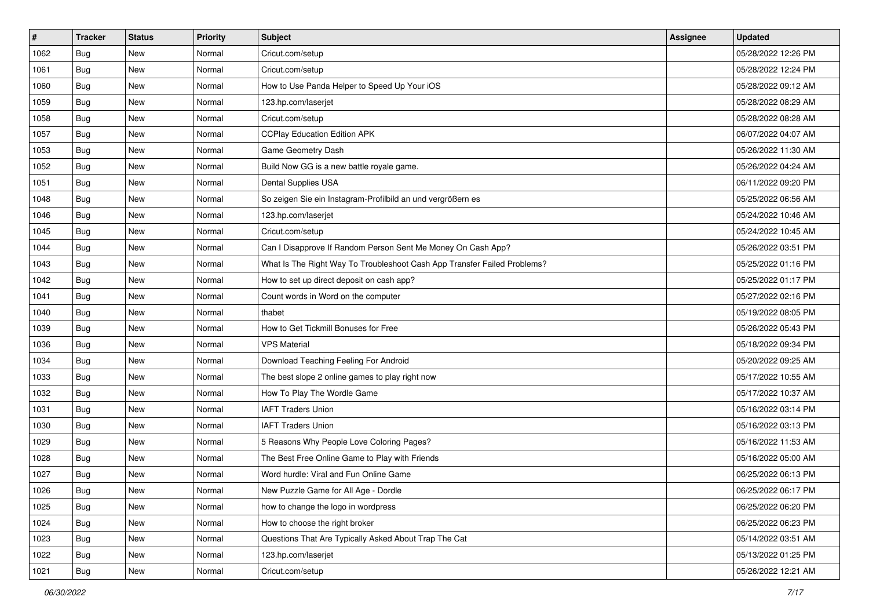| $\vert$ # | <b>Tracker</b> | <b>Status</b> | <b>Priority</b> | Subject                                                                  | <b>Assignee</b> | <b>Updated</b>      |
|-----------|----------------|---------------|-----------------|--------------------------------------------------------------------------|-----------------|---------------------|
| 1062      | Bug            | New           | Normal          | Cricut.com/setup                                                         |                 | 05/28/2022 12:26 PM |
| 1061      | <b>Bug</b>     | New           | Normal          | Cricut.com/setup                                                         |                 | 05/28/2022 12:24 PM |
| 1060      | Bug            | New           | Normal          | How to Use Panda Helper to Speed Up Your iOS                             |                 | 05/28/2022 09:12 AM |
| 1059      | <b>Bug</b>     | New           | Normal          | 123.hp.com/laserjet                                                      |                 | 05/28/2022 08:29 AM |
| 1058      | Bug            | New           | Normal          | Cricut.com/setup                                                         |                 | 05/28/2022 08:28 AM |
| 1057      | <b>Bug</b>     | New           | Normal          | <b>CCPlay Education Edition APK</b>                                      |                 | 06/07/2022 04:07 AM |
| 1053      | <b>Bug</b>     | New           | Normal          | Game Geometry Dash                                                       |                 | 05/26/2022 11:30 AM |
| 1052      | <b>Bug</b>     | New           | Normal          | Build Now GG is a new battle royale game.                                |                 | 05/26/2022 04:24 AM |
| 1051      | <b>Bug</b>     | New           | Normal          | Dental Supplies USA                                                      |                 | 06/11/2022 09:20 PM |
| 1048      | Bug            | New           | Normal          | So zeigen Sie ein Instagram-Profilbild an und vergrößern es              |                 | 05/25/2022 06:56 AM |
| 1046      | <b>Bug</b>     | New           | Normal          | 123.hp.com/laserjet                                                      |                 | 05/24/2022 10:46 AM |
| 1045      | Bug            | New           | Normal          | Cricut.com/setup                                                         |                 | 05/24/2022 10:45 AM |
| 1044      | Bug            | New           | Normal          | Can I Disapprove If Random Person Sent Me Money On Cash App?             |                 | 05/26/2022 03:51 PM |
| 1043      | Bug            | New           | Normal          | What Is The Right Way To Troubleshoot Cash App Transfer Failed Problems? |                 | 05/25/2022 01:16 PM |
| 1042      | Bug            | New           | Normal          | How to set up direct deposit on cash app?                                |                 | 05/25/2022 01:17 PM |
| 1041      | <b>Bug</b>     | New           | Normal          | Count words in Word on the computer                                      |                 | 05/27/2022 02:16 PM |
| 1040      | Bug            | New           | Normal          | thabet                                                                   |                 | 05/19/2022 08:05 PM |
| 1039      | Bug            | New           | Normal          | How to Get Tickmill Bonuses for Free                                     |                 | 05/26/2022 05:43 PM |
| 1036      | Bug            | New           | Normal          | <b>VPS Material</b>                                                      |                 | 05/18/2022 09:34 PM |
| 1034      | Bug            | New           | Normal          | Download Teaching Feeling For Android                                    |                 | 05/20/2022 09:25 AM |
| 1033      | <b>Bug</b>     | New           | Normal          | The best slope 2 online games to play right now                          |                 | 05/17/2022 10:55 AM |
| 1032      | Bug            | New           | Normal          | How To Play The Wordle Game                                              |                 | 05/17/2022 10:37 AM |
| 1031      | Bug            | New           | Normal          | <b>IAFT Traders Union</b>                                                |                 | 05/16/2022 03:14 PM |
| 1030      | <b>Bug</b>     | New           | Normal          | <b>IAFT Traders Union</b>                                                |                 | 05/16/2022 03:13 PM |
| 1029      | <b>Bug</b>     | New           | Normal          | 5 Reasons Why People Love Coloring Pages?                                |                 | 05/16/2022 11:53 AM |
| 1028      | Bug            | New           | Normal          | The Best Free Online Game to Play with Friends                           |                 | 05/16/2022 05:00 AM |
| 1027      | <b>Bug</b>     | New           | Normal          | Word hurdle: Viral and Fun Online Game                                   |                 | 06/25/2022 06:13 PM |
| 1026      | <b>Bug</b>     | New           | Normal          | New Puzzle Game for All Age - Dordle                                     |                 | 06/25/2022 06:17 PM |
| 1025      | <b>Bug</b>     | New           | Normal          | how to change the logo in wordpress                                      |                 | 06/25/2022 06:20 PM |
| 1024      | <b>Bug</b>     | New           | Normal          | How to choose the right broker                                           |                 | 06/25/2022 06:23 PM |
| 1023      | <b>Bug</b>     | New           | Normal          | Questions That Are Typically Asked About Trap The Cat                    |                 | 05/14/2022 03:51 AM |
| 1022      | <b>Bug</b>     | New           | Normal          | 123.hp.com/laserjet                                                      |                 | 05/13/2022 01:25 PM |
| 1021      | <b>Bug</b>     | New           | Normal          | Cricut.com/setup                                                         |                 | 05/26/2022 12:21 AM |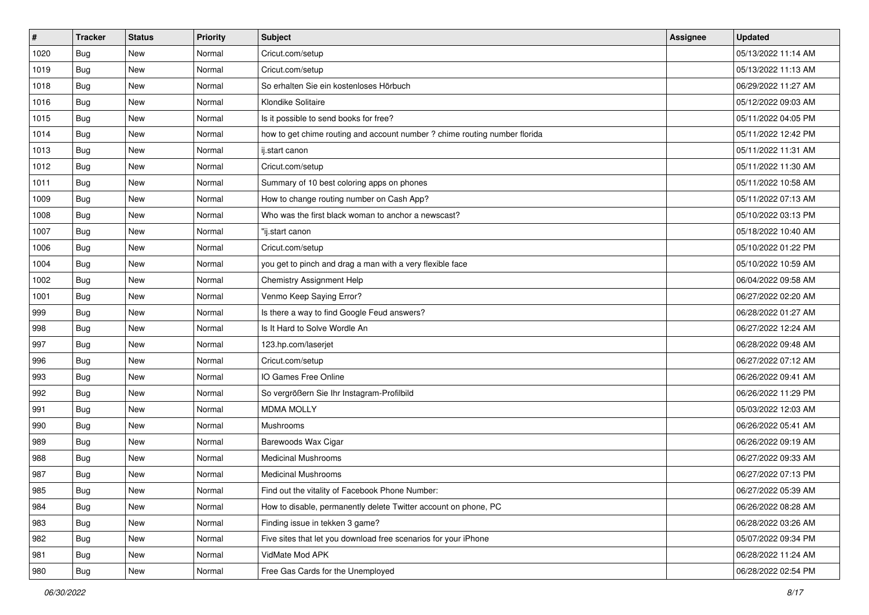| $\vert$ # | <b>Tracker</b> | <b>Status</b> | <b>Priority</b> | Subject                                                                    | <b>Assignee</b> | <b>Updated</b>      |
|-----------|----------------|---------------|-----------------|----------------------------------------------------------------------------|-----------------|---------------------|
| 1020      | Bug            | New           | Normal          | Cricut.com/setup                                                           |                 | 05/13/2022 11:14 AM |
| 1019      | <b>Bug</b>     | New           | Normal          | Cricut.com/setup                                                           |                 | 05/13/2022 11:13 AM |
| 1018      | Bug            | New           | Normal          | So erhalten Sie ein kostenloses Hörbuch                                    |                 | 06/29/2022 11:27 AM |
| 1016      | Bug            | New           | Normal          | Klondike Solitaire                                                         |                 | 05/12/2022 09:03 AM |
| 1015      | Bug            | New           | Normal          | Is it possible to send books for free?                                     |                 | 05/11/2022 04:05 PM |
| 1014      | <b>Bug</b>     | New           | Normal          | how to get chime routing and account number ? chime routing number florida |                 | 05/11/2022 12:42 PM |
| 1013      | <b>Bug</b>     | New           | Normal          | ij.start canon                                                             |                 | 05/11/2022 11:31 AM |
| 1012      | <b>Bug</b>     | New           | Normal          | Cricut.com/setup                                                           |                 | 05/11/2022 11:30 AM |
| 1011      | <b>Bug</b>     | New           | Normal          | Summary of 10 best coloring apps on phones                                 |                 | 05/11/2022 10:58 AM |
| 1009      | Bug            | New           | Normal          | How to change routing number on Cash App?                                  |                 | 05/11/2022 07:13 AM |
| 1008      | <b>Bug</b>     | New           | Normal          | Who was the first black woman to anchor a newscast?                        |                 | 05/10/2022 03:13 PM |
| 1007      | Bug            | New           | Normal          | 'ij.start canon                                                            |                 | 05/18/2022 10:40 AM |
| 1006      | Bug            | New           | Normal          | Cricut.com/setup                                                           |                 | 05/10/2022 01:22 PM |
| 1004      | <b>Bug</b>     | New           | Normal          | you get to pinch and drag a man with a very flexible face                  |                 | 05/10/2022 10:59 AM |
| 1002      | <b>Bug</b>     | New           | Normal          | Chemistry Assignment Help                                                  |                 | 06/04/2022 09:58 AM |
| 1001      | <b>Bug</b>     | New           | Normal          | Venmo Keep Saying Error?                                                   |                 | 06/27/2022 02:20 AM |
| 999       | Bug            | New           | Normal          | Is there a way to find Google Feud answers?                                |                 | 06/28/2022 01:27 AM |
| 998       | Bug            | New           | Normal          | Is It Hard to Solve Wordle An                                              |                 | 06/27/2022 12:24 AM |
| 997       | Bug            | New           | Normal          | 123.hp.com/laserjet                                                        |                 | 06/28/2022 09:48 AM |
| 996       | Bug            | New           | Normal          | Cricut.com/setup                                                           |                 | 06/27/2022 07:12 AM |
| 993       | Bug            | New           | Normal          | IO Games Free Online                                                       |                 | 06/26/2022 09:41 AM |
| 992       | Bug            | New           | Normal          | So vergrößern Sie Ihr Instagram-Profilbild                                 |                 | 06/26/2022 11:29 PM |
| 991       | Bug            | New           | Normal          | <b>MDMA MOLLY</b>                                                          |                 | 05/03/2022 12:03 AM |
| 990       | <b>Bug</b>     | New           | Normal          | Mushrooms                                                                  |                 | 06/26/2022 05:41 AM |
| 989       | <b>Bug</b>     | New           | Normal          | Barewoods Wax Cigar                                                        |                 | 06/26/2022 09:19 AM |
| 988       | Bug            | New           | Normal          | <b>Medicinal Mushrooms</b>                                                 |                 | 06/27/2022 09:33 AM |
| 987       | <b>Bug</b>     | New           | Normal          | <b>Medicinal Mushrooms</b>                                                 |                 | 06/27/2022 07:13 PM |
| 985       | <b>Bug</b>     | New           | Normal          | Find out the vitality of Facebook Phone Number:                            |                 | 06/27/2022 05:39 AM |
| 984       | <b>Bug</b>     | New           | Normal          | How to disable, permanently delete Twitter account on phone, PC            |                 | 06/26/2022 08:28 AM |
| 983       | <b>Bug</b>     | New           | Normal          | Finding issue in tekken 3 game?                                            |                 | 06/28/2022 03:26 AM |
| 982       | <b>Bug</b>     | New           | Normal          | Five sites that let you download free scenarios for your iPhone            |                 | 05/07/2022 09:34 PM |
| 981       | Bug            | New           | Normal          | VidMate Mod APK                                                            |                 | 06/28/2022 11:24 AM |
| 980       | <b>Bug</b>     | New           | Normal          | Free Gas Cards for the Unemployed                                          |                 | 06/28/2022 02:54 PM |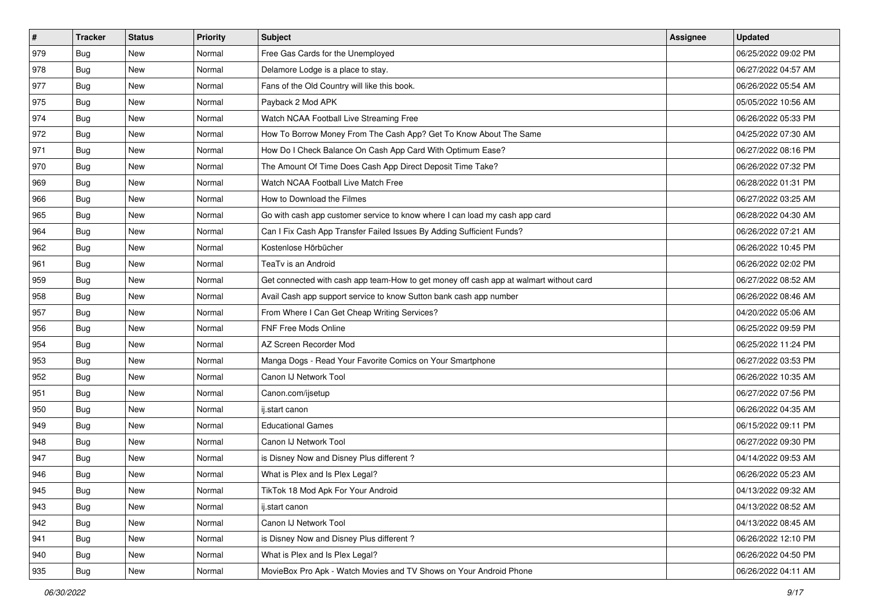| $\sharp$ | <b>Tracker</b> | <b>Status</b> | <b>Priority</b> | <b>Subject</b>                                                                         | <b>Assignee</b> | <b>Updated</b>      |
|----------|----------------|---------------|-----------------|----------------------------------------------------------------------------------------|-----------------|---------------------|
| 979      | Bug            | New           | Normal          | Free Gas Cards for the Unemployed                                                      |                 | 06/25/2022 09:02 PM |
| 978      | Bug            | <b>New</b>    | Normal          | Delamore Lodge is a place to stay.                                                     |                 | 06/27/2022 04:57 AM |
| 977      | Bug            | New           | Normal          | Fans of the Old Country will like this book.                                           |                 | 06/26/2022 05:54 AM |
| 975      | Bug            | New           | Normal          | Payback 2 Mod APK                                                                      |                 | 05/05/2022 10:56 AM |
| 974      | <b>Bug</b>     | <b>New</b>    | Normal          | Watch NCAA Football Live Streaming Free                                                |                 | 06/26/2022 05:33 PM |
| 972      | Bug            | New           | Normal          | How To Borrow Money From The Cash App? Get To Know About The Same                      |                 | 04/25/2022 07:30 AM |
| 971      | Bug            | <b>New</b>    | Normal          | How Do I Check Balance On Cash App Card With Optimum Ease?                             |                 | 06/27/2022 08:16 PM |
| 970      | Bug            | New           | Normal          | The Amount Of Time Does Cash App Direct Deposit Time Take?                             |                 | 06/26/2022 07:32 PM |
| 969      | Bug            | <b>New</b>    | Normal          | Watch NCAA Football Live Match Free                                                    |                 | 06/28/2022 01:31 PM |
| 966      | Bug            | <b>New</b>    | Normal          | How to Download the Filmes                                                             |                 | 06/27/2022 03:25 AM |
| 965      | Bug            | <b>New</b>    | Normal          | Go with cash app customer service to know where I can load my cash app card            |                 | 06/28/2022 04:30 AM |
| 964      | Bug            | New           | Normal          | Can I Fix Cash App Transfer Failed Issues By Adding Sufficient Funds?                  |                 | 06/26/2022 07:21 AM |
| 962      | <b>Bug</b>     | New           | Normal          | Kostenlose Hörbücher                                                                   |                 | 06/26/2022 10:45 PM |
| 961      | Bug            | <b>New</b>    | Normal          | TeaTv is an Android                                                                    |                 | 06/26/2022 02:02 PM |
| 959      | Bug            | New           | Normal          | Get connected with cash app team-How to get money off cash app at walmart without card |                 | 06/27/2022 08:52 AM |
| 958      | Bug            | New           | Normal          | Avail Cash app support service to know Sutton bank cash app number                     |                 | 06/26/2022 08:46 AM |
| 957      | Bug            | New           | Normal          | From Where I Can Get Cheap Writing Services?                                           |                 | 04/20/2022 05:06 AM |
| 956      | <b>Bug</b>     | <b>New</b>    | Normal          | <b>FNF Free Mods Online</b>                                                            |                 | 06/25/2022 09:59 PM |
| 954      | Bug            | <b>New</b>    | Normal          | AZ Screen Recorder Mod                                                                 |                 | 06/25/2022 11:24 PM |
| 953      | Bug            | <b>New</b>    | Normal          | Manga Dogs - Read Your Favorite Comics on Your Smartphone                              |                 | 06/27/2022 03:53 PM |
| 952      | <b>Bug</b>     | New           | Normal          | Canon IJ Network Tool                                                                  |                 | 06/26/2022 10:35 AM |
| 951      | Bug            | <b>New</b>    | Normal          | Canon.com/ijsetup                                                                      |                 | 06/27/2022 07:56 PM |
| 950      | Bug            | <b>New</b>    | Normal          | ij.start canon                                                                         |                 | 06/26/2022 04:35 AM |
| 949      | <b>Bug</b>     | New           | Normal          | <b>Educational Games</b>                                                               |                 | 06/15/2022 09:11 PM |
| 948      | Bug            | New           | Normal          | Canon IJ Network Tool                                                                  |                 | 06/27/2022 09:30 PM |
| 947      | Bug            | New           | Normal          | is Disney Now and Disney Plus different?                                               |                 | 04/14/2022 09:53 AM |
| 946      | Bug            | <b>New</b>    | Normal          | What is Plex and Is Plex Legal?                                                        |                 | 06/26/2022 05:23 AM |
| 945      | I Bug          | New           | Normal          | TikTok 18 Mod Apk For Your Android                                                     |                 | 04/13/2022 09:32 AM |
| 943      | <b>Bug</b>     | New           | Normal          | ij.start canon                                                                         |                 | 04/13/2022 08:52 AM |
| 942      | <b>Bug</b>     | New           | Normal          | Canon IJ Network Tool                                                                  |                 | 04/13/2022 08:45 AM |
| 941      | <b>Bug</b>     | New           | Normal          | is Disney Now and Disney Plus different?                                               |                 | 06/26/2022 12:10 PM |
| 940      | <b>Bug</b>     | New           | Normal          | What is Plex and Is Plex Legal?                                                        |                 | 06/26/2022 04:50 PM |
| 935      | <b>Bug</b>     | New           | Normal          | MovieBox Pro Apk - Watch Movies and TV Shows on Your Android Phone                     |                 | 06/26/2022 04:11 AM |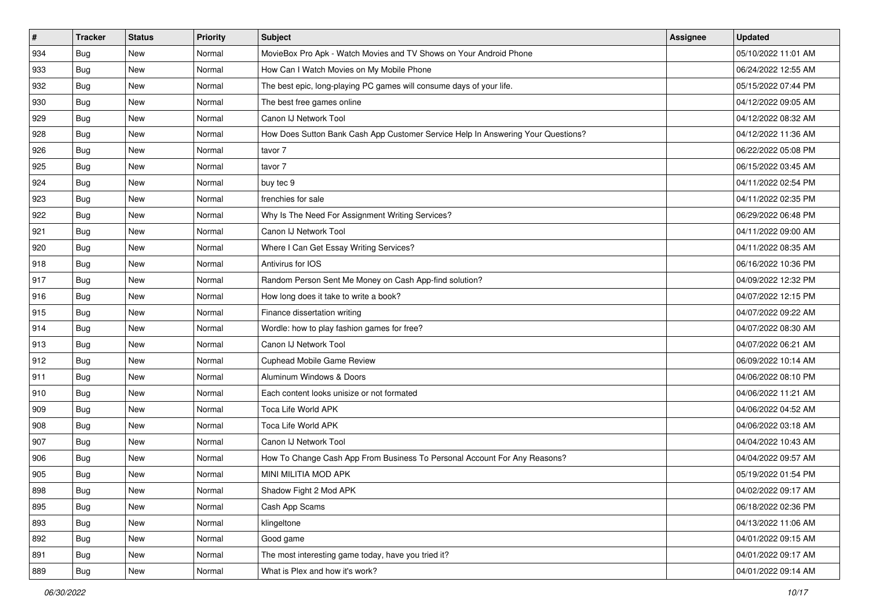| #   | <b>Tracker</b> | <b>Status</b> | <b>Priority</b> | <b>Subject</b>                                                                   | <b>Assignee</b> | <b>Updated</b>      |
|-----|----------------|---------------|-----------------|----------------------------------------------------------------------------------|-----------------|---------------------|
| 934 | Bug            | New           | Normal          | MovieBox Pro Apk - Watch Movies and TV Shows on Your Android Phone               |                 | 05/10/2022 11:01 AM |
| 933 | Bug            | <b>New</b>    | Normal          | How Can I Watch Movies on My Mobile Phone                                        |                 | 06/24/2022 12:55 AM |
| 932 | Bug            | New           | Normal          | The best epic, long-playing PC games will consume days of your life.             |                 | 05/15/2022 07:44 PM |
| 930 | Bug            | <b>New</b>    | Normal          | The best free games online                                                       |                 | 04/12/2022 09:05 AM |
| 929 | Bug            | <b>New</b>    | Normal          | Canon IJ Network Tool                                                            |                 | 04/12/2022 08:32 AM |
| 928 | Bug            | New           | Normal          | How Does Sutton Bank Cash App Customer Service Help In Answering Your Questions? |                 | 04/12/2022 11:36 AM |
| 926 | Bug            | New           | Normal          | tavor 7                                                                          |                 | 06/22/2022 05:08 PM |
| 925 | Bug            | New           | Normal          | tavor 7                                                                          |                 | 06/15/2022 03:45 AM |
| 924 | Bug            | New           | Normal          | buy tec 9                                                                        |                 | 04/11/2022 02:54 PM |
| 923 | Bug            | New           | Normal          | frenchies for sale                                                               |                 | 04/11/2022 02:35 PM |
| 922 | Bug            | New           | Normal          | Why Is The Need For Assignment Writing Services?                                 |                 | 06/29/2022 06:48 PM |
| 921 | Bug            | New           | Normal          | Canon IJ Network Tool                                                            |                 | 04/11/2022 09:00 AM |
| 920 | Bug            | <b>New</b>    | Normal          | Where I Can Get Essay Writing Services?                                          |                 | 04/11/2022 08:35 AM |
| 918 | <b>Bug</b>     | New           | Normal          | Antivirus for IOS                                                                |                 | 06/16/2022 10:36 PM |
| 917 | Bug            | <b>New</b>    | Normal          | Random Person Sent Me Money on Cash App-find solution?                           |                 | 04/09/2022 12:32 PM |
| 916 | Bug            | New           | Normal          | How long does it take to write a book?                                           |                 | 04/07/2022 12:15 PM |
| 915 | Bug            | New           | Normal          | Finance dissertation writing                                                     |                 | 04/07/2022 09:22 AM |
| 914 | Bug            | <b>New</b>    | Normal          | Wordle: how to play fashion games for free?                                      |                 | 04/07/2022 08:30 AM |
| 913 | Bug            | New           | Normal          | Canon IJ Network Tool                                                            |                 | 04/07/2022 06:21 AM |
| 912 | Bug            | New           | Normal          | <b>Cuphead Mobile Game Review</b>                                                |                 | 06/09/2022 10:14 AM |
| 911 | Bug            | New           | Normal          | Aluminum Windows & Doors                                                         |                 | 04/06/2022 08:10 PM |
| 910 | Bug            | <b>New</b>    | Normal          | Each content looks unisize or not formated                                       |                 | 04/06/2022 11:21 AM |
| 909 | Bug            | <b>New</b>    | Normal          | Toca Life World APK                                                              |                 | 04/06/2022 04:52 AM |
| 908 | <b>Bug</b>     | New           | Normal          | Toca Life World APK                                                              |                 | 04/06/2022 03:18 AM |
| 907 | Bug            | New           | Normal          | Canon IJ Network Tool                                                            |                 | 04/04/2022 10:43 AM |
| 906 | Bug            | <b>New</b>    | Normal          | How To Change Cash App From Business To Personal Account For Any Reasons?        |                 | 04/04/2022 09:57 AM |
| 905 | Bug            | New           | Normal          | MINI MILITIA MOD APK                                                             |                 | 05/19/2022 01:54 PM |
| 898 | <b>Bug</b>     | New           | Normal          | Shadow Fight 2 Mod APK                                                           |                 | 04/02/2022 09:17 AM |
| 895 | <b>Bug</b>     | New           | Normal          | Cash App Scams                                                                   |                 | 06/18/2022 02:36 PM |
| 893 | <b>Bug</b>     | New           | Normal          | klingeltone                                                                      |                 | 04/13/2022 11:06 AM |
| 892 | Bug            | New           | Normal          | Good game                                                                        |                 | 04/01/2022 09:15 AM |
| 891 | <b>Bug</b>     | New           | Normal          | The most interesting game today, have you tried it?                              |                 | 04/01/2022 09:17 AM |
| 889 | <b>Bug</b>     | New           | Normal          | What is Plex and how it's work?                                                  |                 | 04/01/2022 09:14 AM |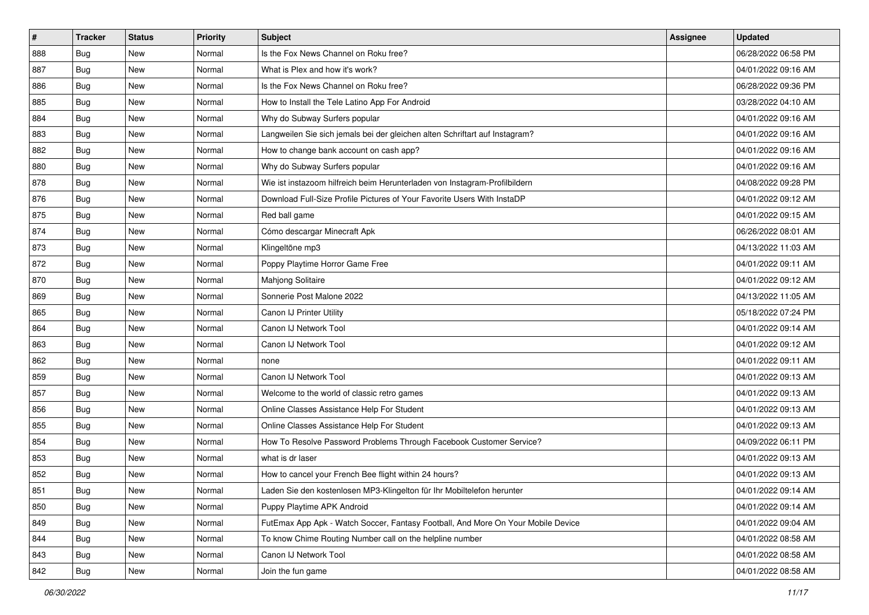| #   | <b>Tracker</b> | <b>Status</b> | <b>Priority</b> | <b>Subject</b>                                                                   | <b>Assignee</b> | <b>Updated</b>      |
|-----|----------------|---------------|-----------------|----------------------------------------------------------------------------------|-----------------|---------------------|
| 888 | Bug            | New           | Normal          | Is the Fox News Channel on Roku free?                                            |                 | 06/28/2022 06:58 PM |
| 887 | Bug            | <b>New</b>    | Normal          | What is Plex and how it's work?                                                  |                 | 04/01/2022 09:16 AM |
| 886 | Bug            | New           | Normal          | Is the Fox News Channel on Roku free?                                            |                 | 06/28/2022 09:36 PM |
| 885 | Bug            | New           | Normal          | How to Install the Tele Latino App For Android                                   |                 | 03/28/2022 04:10 AM |
| 884 | <b>Bug</b>     | <b>New</b>    | Normal          | Why do Subway Surfers popular                                                    |                 | 04/01/2022 09:16 AM |
| 883 | Bug            | New           | Normal          | Langweilen Sie sich jemals bei der gleichen alten Schriftart auf Instagram?      |                 | 04/01/2022 09:16 AM |
| 882 | Bug            | <b>New</b>    | Normal          | How to change bank account on cash app?                                          |                 | 04/01/2022 09:16 AM |
| 880 | Bug            | New           | Normal          | Why do Subway Surfers popular                                                    |                 | 04/01/2022 09:16 AM |
| 878 | Bug            | <b>New</b>    | Normal          | Wie ist instazoom hilfreich beim Herunterladen von Instagram-Profilbildern       |                 | 04/08/2022 09:28 PM |
| 876 | Bug            | <b>New</b>    | Normal          | Download Full-Size Profile Pictures of Your Favorite Users With InstaDP          |                 | 04/01/2022 09:12 AM |
| 875 | <b>Bug</b>     | <b>New</b>    | Normal          | Red ball game                                                                    |                 | 04/01/2022 09:15 AM |
| 874 | Bug            | New           | Normal          | Cómo descargar Minecraft Apk                                                     |                 | 06/26/2022 08:01 AM |
| 873 | <b>Bug</b>     | New           | Normal          | Klingeltöne mp3                                                                  |                 | 04/13/2022 11:03 AM |
| 872 | Bug            | <b>New</b>    | Normal          | Poppy Playtime Horror Game Free                                                  |                 | 04/01/2022 09:11 AM |
| 870 | Bug            | New           | Normal          | Mahjong Solitaire                                                                |                 | 04/01/2022 09:12 AM |
| 869 | Bug            | New           | Normal          | Sonnerie Post Malone 2022                                                        |                 | 04/13/2022 11:05 AM |
| 865 | Bug            | New           | Normal          | Canon IJ Printer Utility                                                         |                 | 05/18/2022 07:24 PM |
| 864 | <b>Bug</b>     | New           | Normal          | Canon IJ Network Tool                                                            |                 | 04/01/2022 09:14 AM |
| 863 | Bug            | New           | Normal          | Canon IJ Network Tool                                                            |                 | 04/01/2022 09:12 AM |
| 862 | Bug            | <b>New</b>    | Normal          | none                                                                             |                 | 04/01/2022 09:11 AM |
| 859 | <b>Bug</b>     | New           | Normal          | Canon IJ Network Tool                                                            |                 | 04/01/2022 09:13 AM |
| 857 | Bug            | <b>New</b>    | Normal          | Welcome to the world of classic retro games                                      |                 | 04/01/2022 09:13 AM |
| 856 | Bug            | <b>New</b>    | Normal          | Online Classes Assistance Help For Student                                       |                 | 04/01/2022 09:13 AM |
| 855 | <b>Bug</b>     | New           | Normal          | Online Classes Assistance Help For Student                                       |                 | 04/01/2022 09:13 AM |
| 854 | Bug            | New           | Normal          | How To Resolve Password Problems Through Facebook Customer Service?              |                 | 04/09/2022 06:11 PM |
| 853 | Bug            | New           | Normal          | what is dr laser                                                                 |                 | 04/01/2022 09:13 AM |
| 852 | <b>Bug</b>     | <b>New</b>    | Normal          | How to cancel your French Bee flight within 24 hours?                            |                 | 04/01/2022 09:13 AM |
| 851 | Bug            | New           | Normal          | Laden Sie den kostenlosen MP3-Klingelton für Ihr Mobiltelefon herunter           |                 | 04/01/2022 09:14 AM |
| 850 | <b>Bug</b>     | New           | Normal          | Puppy Playtime APK Android                                                       |                 | 04/01/2022 09:14 AM |
| 849 | <b>Bug</b>     | New           | Normal          | FutEmax App Apk - Watch Soccer, Fantasy Football, And More On Your Mobile Device |                 | 04/01/2022 09:04 AM |
| 844 | <b>Bug</b>     | New           | Normal          | To know Chime Routing Number call on the helpline number                         |                 | 04/01/2022 08:58 AM |
| 843 | <b>Bug</b>     | New           | Normal          | Canon IJ Network Tool                                                            |                 | 04/01/2022 08:58 AM |
| 842 | <b>Bug</b>     | New           | Normal          | Join the fun game                                                                |                 | 04/01/2022 08:58 AM |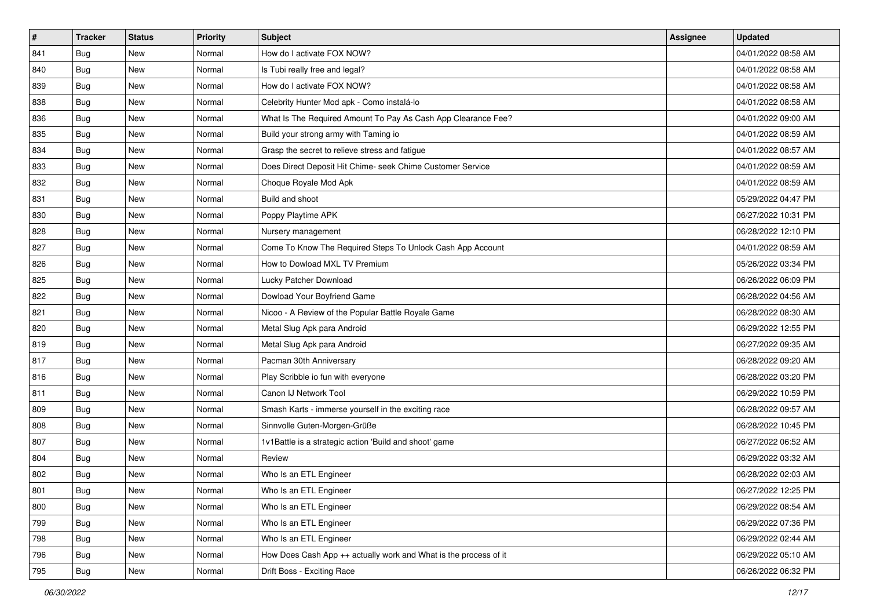| #   | <b>Tracker</b> | <b>Status</b> | <b>Priority</b> | Subject                                                          | <b>Assignee</b> | <b>Updated</b>      |
|-----|----------------|---------------|-----------------|------------------------------------------------------------------|-----------------|---------------------|
| 841 | Bug            | New           | Normal          | How do I activate FOX NOW?                                       |                 | 04/01/2022 08:58 AM |
| 840 | <b>Bug</b>     | New           | Normal          | Is Tubi really free and legal?                                   |                 | 04/01/2022 08:58 AM |
| 839 | <b>Bug</b>     | New           | Normal          | How do I activate FOX NOW?                                       |                 | 04/01/2022 08:58 AM |
| 838 | Bug            | New           | Normal          | Celebrity Hunter Mod apk - Como instalá-lo                       |                 | 04/01/2022 08:58 AM |
| 836 | <b>Bug</b>     | New           | Normal          | What Is The Required Amount To Pay As Cash App Clearance Fee?    |                 | 04/01/2022 09:00 AM |
| 835 | Bug            | New           | Normal          | Build your strong army with Taming io                            |                 | 04/01/2022 08:59 AM |
| 834 | <b>Bug</b>     | New           | Normal          | Grasp the secret to relieve stress and fatigue                   |                 | 04/01/2022 08:57 AM |
| 833 | Bug            | New           | Normal          | Does Direct Deposit Hit Chime- seek Chime Customer Service       |                 | 04/01/2022 08:59 AM |
| 832 | Bug            | New           | Normal          | Choque Royale Mod Apk                                            |                 | 04/01/2022 08:59 AM |
| 831 | <b>Bug</b>     | New           | Normal          | Build and shoot                                                  |                 | 05/29/2022 04:47 PM |
| 830 | <b>Bug</b>     | New           | Normal          | Poppy Playtime APK                                               |                 | 06/27/2022 10:31 PM |
| 828 | <b>Bug</b>     | New           | Normal          | Nursery management                                               |                 | 06/28/2022 12:10 PM |
| 827 | <b>Bug</b>     | New           | Normal          | Come To Know The Required Steps To Unlock Cash App Account       |                 | 04/01/2022 08:59 AM |
| 826 | <b>Bug</b>     | New           | Normal          | How to Dowload MXL TV Premium                                    |                 | 05/26/2022 03:34 PM |
| 825 | Bug            | New           | Normal          | Lucky Patcher Download                                           |                 | 06/26/2022 06:09 PM |
| 822 | <b>Bug</b>     | New           | Normal          | Dowload Your Boyfriend Game                                      |                 | 06/28/2022 04:56 AM |
| 821 | Bug            | New           | Normal          | Nicoo - A Review of the Popular Battle Royale Game               |                 | 06/28/2022 08:30 AM |
| 820 | <b>Bug</b>     | New           | Normal          | Metal Slug Apk para Android                                      |                 | 06/29/2022 12:55 PM |
| 819 | <b>Bug</b>     | New           | Normal          | Metal Slug Apk para Android                                      |                 | 06/27/2022 09:35 AM |
| 817 | <b>Bug</b>     | New           | Normal          | Pacman 30th Anniversary                                          |                 | 06/28/2022 09:20 AM |
| 816 | Bug            | New           | Normal          | Play Scribble io fun with everyone                               |                 | 06/28/2022 03:20 PM |
| 811 | Bug            | New           | Normal          | Canon IJ Network Tool                                            |                 | 06/29/2022 10:59 PM |
| 809 | <b>Bug</b>     | New           | Normal          | Smash Karts - immerse yourself in the exciting race              |                 | 06/28/2022 09:57 AM |
| 808 | <b>Bug</b>     | New           | Normal          | Sinnvolle Guten-Morgen-Grüße                                     |                 | 06/28/2022 10:45 PM |
| 807 | <b>Bug</b>     | New           | Normal          | 1v1Battle is a strategic action 'Build and shoot' game           |                 | 06/27/2022 06:52 AM |
| 804 | Bug            | New           | Normal          | Review                                                           |                 | 06/29/2022 03:32 AM |
| 802 | <b>Bug</b>     | New           | Normal          | Who Is an ETL Engineer                                           |                 | 06/28/2022 02:03 AM |
| 801 | <b>Bug</b>     | New           | Normal          | Who Is an ETL Engineer                                           |                 | 06/27/2022 12:25 PM |
| 800 | Bug            | New           | Normal          | Who Is an ETL Engineer                                           |                 | 06/29/2022 08:54 AM |
| 799 | Bug            | New           | Normal          | Who Is an ETL Engineer                                           |                 | 06/29/2022 07:36 PM |
| 798 | Bug            | New           | Normal          | Who Is an ETL Engineer                                           |                 | 06/29/2022 02:44 AM |
| 796 | Bug            | New           | Normal          | How Does Cash App ++ actually work and What is the process of it |                 | 06/29/2022 05:10 AM |
| 795 | <b>Bug</b>     | New           | Normal          | Drift Boss - Exciting Race                                       |                 | 06/26/2022 06:32 PM |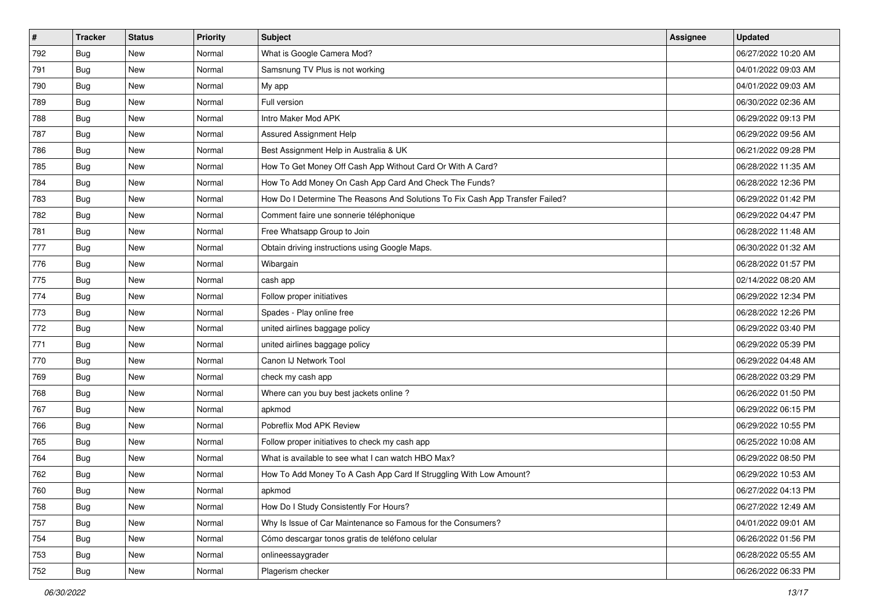| $\sharp$ | <b>Tracker</b> | <b>Status</b> | <b>Priority</b> | Subject                                                                       | <b>Assignee</b> | <b>Updated</b>      |
|----------|----------------|---------------|-----------------|-------------------------------------------------------------------------------|-----------------|---------------------|
| 792      | Bug            | New           | Normal          | What is Google Camera Mod?                                                    |                 | 06/27/2022 10:20 AM |
| 791      | Bug            | <b>New</b>    | Normal          | Samsnung TV Plus is not working                                               |                 | 04/01/2022 09:03 AM |
| 790      | Bug            | New           | Normal          | My app                                                                        |                 | 04/01/2022 09:03 AM |
| 789      | Bug            | New           | Normal          | Full version                                                                  |                 | 06/30/2022 02:36 AM |
| 788      | <b>Bug</b>     | <b>New</b>    | Normal          | Intro Maker Mod APK                                                           |                 | 06/29/2022 09:13 PM |
| 787      | <b>Bug</b>     | New           | Normal          | Assured Assignment Help                                                       |                 | 06/29/2022 09:56 AM |
| 786      | Bug            | <b>New</b>    | Normal          | Best Assignment Help in Australia & UK                                        |                 | 06/21/2022 09:28 PM |
| 785      | Bug            | New           | Normal          | How To Get Money Off Cash App Without Card Or With A Card?                    |                 | 06/28/2022 11:35 AM |
| 784      | Bug            | New           | Normal          | How To Add Money On Cash App Card And Check The Funds?                        |                 | 06/28/2022 12:36 PM |
| 783      | Bug            | <b>New</b>    | Normal          | How Do I Determine The Reasons And Solutions To Fix Cash App Transfer Failed? |                 | 06/29/2022 01:42 PM |
| 782      | Bug            | New           | Normal          | Comment faire une sonnerie téléphonique                                       |                 | 06/29/2022 04:47 PM |
| 781      | <b>Bug</b>     | New           | Normal          | Free Whatsapp Group to Join                                                   |                 | 06/28/2022 11:48 AM |
| 777      | <b>Bug</b>     | New           | Normal          | Obtain driving instructions using Google Maps.                                |                 | 06/30/2022 01:32 AM |
| 776      | Bug            | <b>New</b>    | Normal          | Wibargain                                                                     |                 | 06/28/2022 01:57 PM |
| 775      | Bug            | New           | Normal          | cash app                                                                      |                 | 02/14/2022 08:20 AM |
| 774      | Bug            | New           | Normal          | Follow proper initiatives                                                     |                 | 06/29/2022 12:34 PM |
| 773      | <b>Bug</b>     | New           | Normal          | Spades - Play online free                                                     |                 | 06/28/2022 12:26 PM |
| 772      | <b>Bug</b>     | New           | Normal          | united airlines baggage policy                                                |                 | 06/29/2022 03:40 PM |
| 771      | Bug            | New           | Normal          | united airlines baggage policy                                                |                 | 06/29/2022 05:39 PM |
| 770      | Bug            | <b>New</b>    | Normal          | Canon IJ Network Tool                                                         |                 | 06/29/2022 04:48 AM |
| 769      | Bug            | New           | Normal          | check my cash app                                                             |                 | 06/28/2022 03:29 PM |
| 768      | Bug            | <b>New</b>    | Normal          | Where can you buy best jackets online?                                        |                 | 06/26/2022 01:50 PM |
| 767      | Bug            | <b>New</b>    | Normal          | apkmod                                                                        |                 | 06/29/2022 06:15 PM |
| 766      | <b>Bug</b>     | New           | Normal          | Pobreflix Mod APK Review                                                      |                 | 06/29/2022 10:55 PM |
| 765      | Bug            | New           | Normal          | Follow proper initiatives to check my cash app                                |                 | 06/25/2022 10:08 AM |
| 764      | Bug            | New           | Normal          | What is available to see what I can watch HBO Max?                            |                 | 06/29/2022 08:50 PM |
| 762      | <b>Bug</b>     | <b>New</b>    | Normal          | How To Add Money To A Cash App Card If Struggling With Low Amount?            |                 | 06/29/2022 10:53 AM |
| 760      | Bug            | New           | Normal          | apkmod                                                                        |                 | 06/27/2022 04:13 PM |
| 758      | <b>Bug</b>     | New           | Normal          | How Do I Study Consistently For Hours?                                        |                 | 06/27/2022 12:49 AM |
| 757      | <b>Bug</b>     | New           | Normal          | Why Is Issue of Car Maintenance so Famous for the Consumers?                  |                 | 04/01/2022 09:01 AM |
| 754      | <b>Bug</b>     | New           | Normal          | Cómo descargar tonos gratis de teléfono celular                               |                 | 06/26/2022 01:56 PM |
| 753      | <b>Bug</b>     | New           | Normal          | onlineessaygrader                                                             |                 | 06/28/2022 05:55 AM |
| 752      | <b>Bug</b>     | New           | Normal          | Plagerism checker                                                             |                 | 06/26/2022 06:33 PM |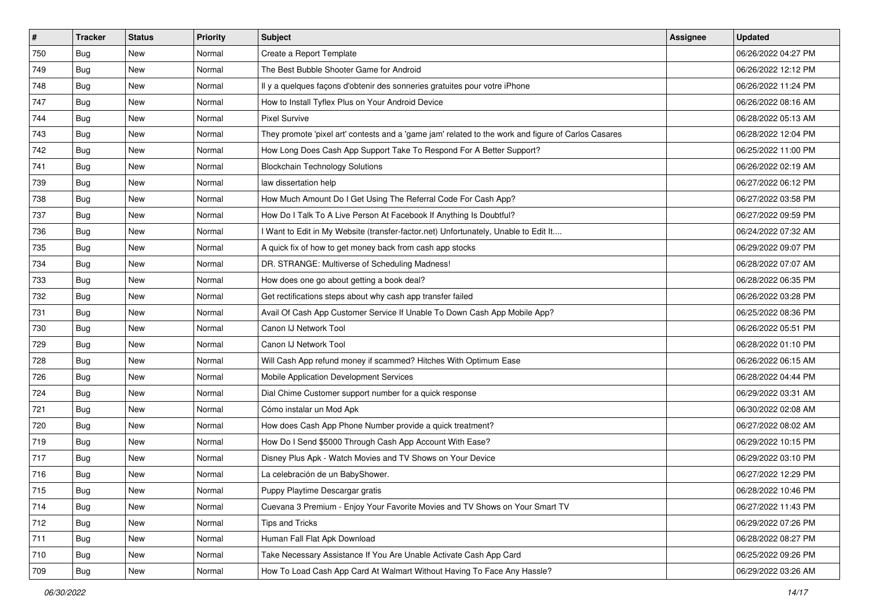| $\pmb{\#}$ | <b>Tracker</b> | <b>Status</b> | <b>Priority</b> | Subject                                                                                             | <b>Assignee</b> | <b>Updated</b>      |
|------------|----------------|---------------|-----------------|-----------------------------------------------------------------------------------------------------|-----------------|---------------------|
| 750        | <b>Bug</b>     | New           | Normal          | Create a Report Template                                                                            |                 | 06/26/2022 04:27 PM |
| 749        | <b>Bug</b>     | New           | Normal          | The Best Bubble Shooter Game for Android                                                            |                 | 06/26/2022 12:12 PM |
| 748        | Bug            | New           | Normal          | Il y a quelques façons d'obtenir des sonneries gratuites pour votre iPhone                          |                 | 06/26/2022 11:24 PM |
| 747        | Bug            | New           | Normal          | How to Install Tyflex Plus on Your Android Device                                                   |                 | 06/26/2022 08:16 AM |
| 744        | Bug            | New           | Normal          | <b>Pixel Survive</b>                                                                                |                 | 06/28/2022 05:13 AM |
| 743        | Bug            | New           | Normal          | They promote 'pixel art' contests and a 'game jam' related to the work and figure of Carlos Casares |                 | 06/28/2022 12:04 PM |
| 742        | Bug            | New           | Normal          | How Long Does Cash App Support Take To Respond For A Better Support?                                |                 | 06/25/2022 11:00 PM |
| 741        | Bug            | New           | Normal          | <b>Blockchain Technology Solutions</b>                                                              |                 | 06/26/2022 02:19 AM |
| 739        | Bug            | New           | Normal          | law dissertation help                                                                               |                 | 06/27/2022 06:12 PM |
| 738        | Bug            | New           | Normal          | How Much Amount Do I Get Using The Referral Code For Cash App?                                      |                 | 06/27/2022 03:58 PM |
| 737        | Bug            | New           | Normal          | How Do I Talk To A Live Person At Facebook If Anything Is Doubtful?                                 |                 | 06/27/2022 09:59 PM |
| 736        | Bug            | New           | Normal          | I Want to Edit in My Website (transfer-factor.net) Unfortunately, Unable to Edit It                 |                 | 06/24/2022 07:32 AM |
| 735        | Bug            | New           | Normal          | A quick fix of how to get money back from cash app stocks                                           |                 | 06/29/2022 09:07 PM |
| 734        | Bug            | New           | Normal          | DR. STRANGE: Multiverse of Scheduling Madness!                                                      |                 | 06/28/2022 07:07 AM |
| 733        | Bug            | New           | Normal          | How does one go about getting a book deal?                                                          |                 | 06/28/2022 06:35 PM |
| 732        | Bug            | New           | Normal          | Get rectifications steps about why cash app transfer failed                                         |                 | 06/26/2022 03:28 PM |
| 731        | Bug            | New           | Normal          | Avail Of Cash App Customer Service If Unable To Down Cash App Mobile App?                           |                 | 06/25/2022 08:36 PM |
| 730        | Bug            | New           | Normal          | Canon IJ Network Tool                                                                               |                 | 06/26/2022 05:51 PM |
| 729        | Bug            | New           | Normal          | Canon IJ Network Tool                                                                               |                 | 06/28/2022 01:10 PM |
| 728        | Bug            | New           | Normal          | Will Cash App refund money if scammed? Hitches With Optimum Ease                                    |                 | 06/26/2022 06:15 AM |
| 726        | Bug            | New           | Normal          | Mobile Application Development Services                                                             |                 | 06/28/2022 04:44 PM |
| 724        | Bug            | New           | Normal          | Dial Chime Customer support number for a quick response                                             |                 | 06/29/2022 03:31 AM |
| 721        | <b>Bug</b>     | New           | Normal          | Cómo instalar un Mod Apk                                                                            |                 | 06/30/2022 02:08 AM |
| 720        | Bug            | New           | Normal          | How does Cash App Phone Number provide a quick treatment?                                           |                 | 06/27/2022 08:02 AM |
| 719        | Bug            | New           | Normal          | How Do I Send \$5000 Through Cash App Account With Ease?                                            |                 | 06/29/2022 10:15 PM |
| 717        | Bug            | New           | Normal          | Disney Plus Apk - Watch Movies and TV Shows on Your Device                                          |                 | 06/29/2022 03:10 PM |
| 716        | Bug            | New           | Normal          | La celebración de un BabyShower.                                                                    |                 | 06/27/2022 12:29 PM |
| 715        | <b>Bug</b>     | New           | Normal          | Puppy Playtime Descargar gratis                                                                     |                 | 06/28/2022 10:46 PM |
| 714        | Bug            | New           | Normal          | Cuevana 3 Premium - Enjoy Your Favorite Movies and TV Shows on Your Smart TV                        |                 | 06/27/2022 11:43 PM |
| 712        | Bug            | New           | Normal          | Tips and Tricks                                                                                     |                 | 06/29/2022 07:26 PM |
| 711        | Bug            | New           | Normal          | Human Fall Flat Apk Download                                                                        |                 | 06/28/2022 08:27 PM |
| 710        | Bug            | New           | Normal          | Take Necessary Assistance If You Are Unable Activate Cash App Card                                  |                 | 06/25/2022 09:26 PM |
| 709        | <b>Bug</b>     | New           | Normal          | How To Load Cash App Card At Walmart Without Having To Face Any Hassle?                             |                 | 06/29/2022 03:26 AM |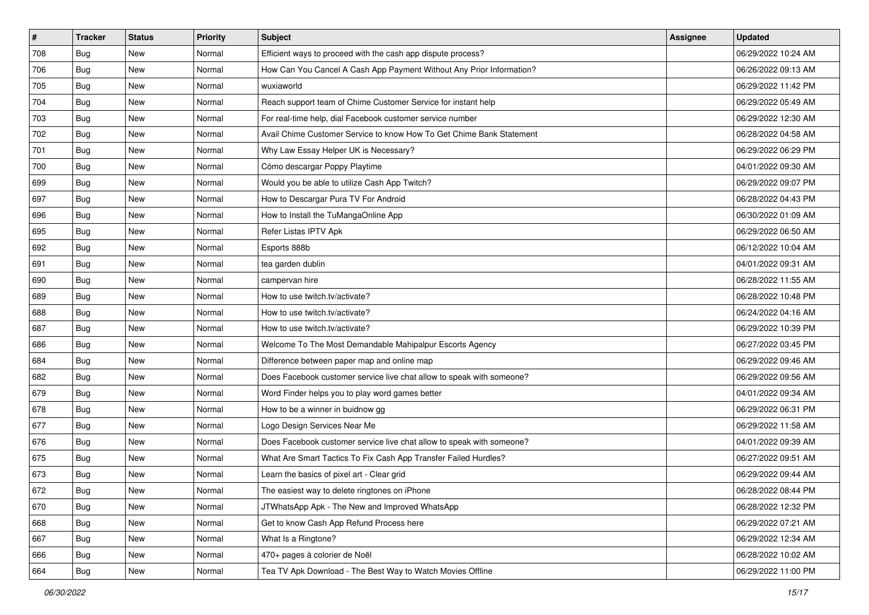| $\sharp$ | <b>Tracker</b> | <b>Status</b> | <b>Priority</b> | Subject                                                               | <b>Assignee</b> | <b>Updated</b>      |
|----------|----------------|---------------|-----------------|-----------------------------------------------------------------------|-----------------|---------------------|
| 708      | <b>Bug</b>     | New           | Normal          | Efficient ways to proceed with the cash app dispute process?          |                 | 06/29/2022 10:24 AM |
| 706      | Bug            | <b>New</b>    | Normal          | How Can You Cancel A Cash App Payment Without Any Prior Information?  |                 | 06/26/2022 09:13 AM |
| 705      | Bug            | New           | Normal          | wuxiaworld                                                            |                 | 06/29/2022 11:42 PM |
| 704      | Bug            | <b>New</b>    | Normal          | Reach support team of Chime Customer Service for instant help         |                 | 06/29/2022 05:49 AM |
| 703      | Bug            | <b>New</b>    | Normal          | For real-time help, dial Facebook customer service number             |                 | 06/29/2022 12:30 AM |
| 702      | Bug            | New           | Normal          | Avail Chime Customer Service to know How To Get Chime Bank Statement  |                 | 06/28/2022 04:58 AM |
| 701      | Bug            | New           | Normal          | Why Law Essay Helper UK is Necessary?                                 |                 | 06/29/2022 06:29 PM |
| 700      | Bug            | New           | Normal          | Cómo descargar Poppy Playtime                                         |                 | 04/01/2022 09:30 AM |
| 699      | Bug            | <b>New</b>    | Normal          | Would you be able to utilize Cash App Twitch?                         |                 | 06/29/2022 09:07 PM |
| 697      | Bug            | New           | Normal          | How to Descargar Pura TV For Android                                  |                 | 06/28/2022 04:43 PM |
| 696      | Bug            | New           | Normal          | How to Install the TuMangaOnline App                                  |                 | 06/30/2022 01:09 AM |
| 695      | Bug            | New           | Normal          | Refer Listas IPTV Apk                                                 |                 | 06/29/2022 06:50 AM |
| 692      | Bug            | <b>New</b>    | Normal          | Esports 888b                                                          |                 | 06/12/2022 10:04 AM |
| 691      | Bug            | <b>New</b>    | Normal          | tea garden dublin                                                     |                 | 04/01/2022 09:31 AM |
| 690      | Bug            | New           | Normal          | campervan hire                                                        |                 | 06/28/2022 11:55 AM |
| 689      | Bug            | New           | Normal          | How to use twitch.tv/activate?                                        |                 | 06/28/2022 10:48 PM |
| 688      | Bug            | New           | Normal          | How to use twitch.tv/activate?                                        |                 | 06/24/2022 04:16 AM |
| 687      | Bug            | <b>New</b>    | Normal          | How to use twitch.tv/activate?                                        |                 | 06/29/2022 10:39 PM |
| 686      | Bug            | New           | Normal          | Welcome To The Most Demandable Mahipalpur Escorts Agency              |                 | 06/27/2022 03:45 PM |
| 684      | Bug            | <b>New</b>    | Normal          | Difference between paper map and online map                           |                 | 06/29/2022 09:46 AM |
| 682      | <b>Bug</b>     | New           | Normal          | Does Facebook customer service live chat allow to speak with someone? |                 | 06/29/2022 09:56 AM |
| 679      | Bug            | <b>New</b>    | Normal          | Word Finder helps you to play word games better                       |                 | 04/01/2022 09:34 AM |
| 678      | Bug            | <b>New</b>    | Normal          | How to be a winner in buidnow gg                                      |                 | 06/29/2022 06:31 PM |
| 677      | <b>Bug</b>     | New           | Normal          | Logo Design Services Near Me                                          |                 | 06/29/2022 11:58 AM |
| 676      | Bug            | New           | Normal          | Does Facebook customer service live chat allow to speak with someone? |                 | 04/01/2022 09:39 AM |
| 675      | Bug            | New           | Normal          | What Are Smart Tactics To Fix Cash App Transfer Failed Hurdles?       |                 | 06/27/2022 09:51 AM |
| 673      | Bug            | New           | Normal          | Learn the basics of pixel art - Clear grid                            |                 | 06/29/2022 09:44 AM |
| 672      | Bug            | New           | Normal          | The easiest way to delete ringtones on iPhone                         |                 | 06/28/2022 08:44 PM |
| 670      | <b>Bug</b>     | New           | Normal          | JTWhatsApp Apk - The New and Improved WhatsApp                        |                 | 06/28/2022 12:32 PM |
| 668      | <b>Bug</b>     | New           | Normal          | Get to know Cash App Refund Process here                              |                 | 06/29/2022 07:21 AM |
| 667      | <b>Bug</b>     | New           | Normal          | What Is a Ringtone?                                                   |                 | 06/29/2022 12:34 AM |
| 666      | <b>Bug</b>     | New           | Normal          | 470+ pages à colorier de Noël                                         |                 | 06/28/2022 10:02 AM |
| 664      | <b>Bug</b>     | New           | Normal          | Tea TV Apk Download - The Best Way to Watch Movies Offline            |                 | 06/29/2022 11:00 PM |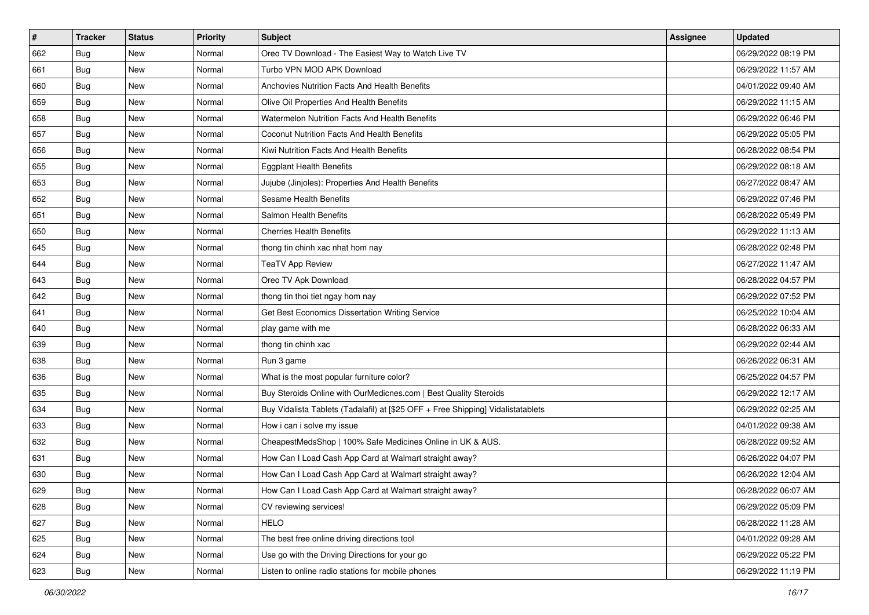| $\sharp$ | <b>Tracker</b> | <b>Status</b> | <b>Priority</b> | Subject                                                                          | <b>Assignee</b> | <b>Updated</b>      |
|----------|----------------|---------------|-----------------|----------------------------------------------------------------------------------|-----------------|---------------------|
| 662      | Bug            | New           | Normal          | Oreo TV Download - The Easiest Way to Watch Live TV                              |                 | 06/29/2022 08:19 PM |
| 661      | Bug            | <b>New</b>    | Normal          | Turbo VPN MOD APK Download                                                       |                 | 06/29/2022 11:57 AM |
| 660      | Bug            | New           | Normal          | Anchovies Nutrition Facts And Health Benefits                                    |                 | 04/01/2022 09:40 AM |
| 659      | Bug            | <b>New</b>    | Normal          | Olive Oil Properties And Health Benefits                                         |                 | 06/29/2022 11:15 AM |
| 658      | Bug            | New           | Normal          | Watermelon Nutrition Facts And Health Benefits                                   |                 | 06/29/2022 06:46 PM |
| 657      | Bug            | <b>New</b>    | Normal          | Coconut Nutrition Facts And Health Benefits                                      |                 | 06/29/2022 05:05 PM |
| 656      | Bug            | <b>New</b>    | Normal          | Kiwi Nutrition Facts And Health Benefits                                         |                 | 06/28/2022 08:54 PM |
| 655      | <b>Bug</b>     | New           | Normal          | <b>Eggplant Health Benefits</b>                                                  |                 | 06/29/2022 08:18 AM |
| 653      | Bug            | New           | Normal          | Jujube (Jinjoles): Properties And Health Benefits                                |                 | 06/27/2022 08:47 AM |
| 652      | Bug            | New           | Normal          | Sesame Health Benefits                                                           |                 | 06/29/2022 07:46 PM |
| 651      | <b>Bug</b>     | New           | Normal          | Salmon Health Benefits                                                           |                 | 06/28/2022 05:49 PM |
| 650      | Bug            | <b>New</b>    | Normal          | <b>Cherries Health Benefits</b>                                                  |                 | 06/29/2022 11:13 AM |
| 645      | <b>Bug</b>     | <b>New</b>    | Normal          | thong tin chinh xac nhat hom nay                                                 |                 | 06/28/2022 02:48 PM |
| 644      | Bug            | New           | Normal          | <b>TeaTV App Review</b>                                                          |                 | 06/27/2022 11:47 AM |
| 643      | Bug            | <b>New</b>    | Normal          | Oreo TV Apk Download                                                             |                 | 06/28/2022 04:57 PM |
| 642      | Bug            | New           | Normal          | thong tin thoi tiet ngay hom nay                                                 |                 | 06/29/2022 07:52 PM |
| 641      | Bug            | <b>New</b>    | Normal          | Get Best Economics Dissertation Writing Service                                  |                 | 06/25/2022 10:04 AM |
| 640      | Bug            | New           | Normal          | play game with me                                                                |                 | 06/28/2022 06:33 AM |
| 639      | Bug            | New           | Normal          | thong tin chinh xac                                                              |                 | 06/29/2022 02:44 AM |
| 638      | Bug            | <b>New</b>    | Normal          | Run 3 game                                                                       |                 | 06/26/2022 06:31 AM |
| 636      | Bug            | New           | Normal          | What is the most popular furniture color?                                        |                 | 06/25/2022 04:57 PM |
| 635      | Bug            | New           | Normal          | Buy Steroids Online with OurMedicnes.com   Best Quality Steroids                 |                 | 06/29/2022 12:17 AM |
| 634      | Bug            | New           | Normal          | Buy Vidalista Tablets (Tadalafil) at [\$25 OFF + Free Shipping] Vidalistatablets |                 | 06/29/2022 02:25 AM |
| 633      | <b>Bug</b>     | New           | Normal          | How i can i solve my issue                                                       |                 | 04/01/2022 09:38 AM |
| 632      | Bug            | New           | Normal          | CheapestMedsShop   100% Safe Medicines Online in UK & AUS.                       |                 | 06/28/2022 09:52 AM |
| 631      | Bug            | <b>New</b>    | Normal          | How Can I Load Cash App Card at Walmart straight away?                           |                 | 06/26/2022 04:07 PM |
| 630      | <b>Bug</b>     | <b>New</b>    | Normal          | How Can I Load Cash App Card at Walmart straight away?                           |                 | 06/26/2022 12:04 AM |
| 629      | <b>Bug</b>     | New           | Normal          | How Can I Load Cash App Card at Walmart straight away?                           |                 | 06/28/2022 06:07 AM |
| 628      | <b>Bug</b>     | New           | Normal          | CV reviewing services!                                                           |                 | 06/29/2022 05:09 PM |
| 627      | <b>Bug</b>     | New           | Normal          | <b>HELO</b>                                                                      |                 | 06/28/2022 11:28 AM |
| 625      | <b>Bug</b>     | New           | Normal          | The best free online driving directions tool                                     |                 | 04/01/2022 09:28 AM |
| 624      | <b>Bug</b>     | New           | Normal          | Use go with the Driving Directions for your go                                   |                 | 06/29/2022 05:22 PM |
| 623      | <b>Bug</b>     | New           | Normal          | Listen to online radio stations for mobile phones                                |                 | 06/29/2022 11:19 PM |